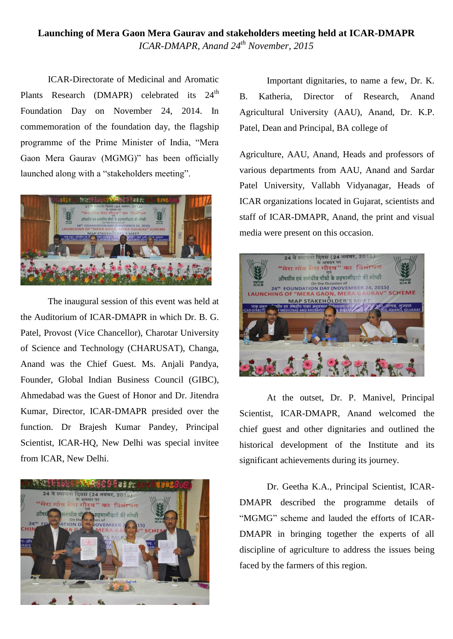## **Launching of Mera Gaon Mera Gaurav and stakeholders meeting held at ICAR-DMAPR** *ICAR-DMAPR, Anand 24th November, 2015*

ICAR-Directorate of Medicinal and Aromatic Plants Research (DMAPR) celebrated its  $24<sup>th</sup>$ Foundation Day on November 24, 2014. In commemoration of the foundation day, the flagship programme of the Prime Minister of India, "Mera Gaon Mera Gaurav (MGMG)" has been officially launched along with a "stakeholders meeting".



The inaugural session of this event was held at the Auditorium of ICAR-DMAPR in which Dr. B. G. Patel, Provost (Vice Chancellor), Charotar University of Science and Technology (CHARUSAT), Changa, Anand was the Chief Guest. Ms. Anjali Pandya, Founder, Global Indian Business Council (GIBC), Ahmedabad was the Guest of Honor and Dr. Jitendra Kumar, Director, ICAR-DMAPR presided over the function. Dr Brajesh Kumar Pandey, Principal Scientist, ICAR-HQ, New Delhi was special invitee from ICAR, New Delhi.



Important dignitaries, to name a few, Dr. K. B. Katheria, Director of Research, Anand Agricultural University (AAU), Anand, Dr. K.P. Patel, Dean and Principal, BA college of

Agriculture, AAU, Anand, Heads and professors of various departments from AAU, Anand and Sardar Patel University, Vallabh Vidyanagar, Heads of ICAR organizations located in Gujarat, scientists and staff of ICAR-DMAPR, Anand, the print and visual media were present on this occasion.



At the outset, Dr. P. Manivel, Principal Scientist, ICAR-DMAPR, Anand welcomed the chief guest and other dignitaries and outlined the historical development of the Institute and its significant achievements during its journey.

Dr. Geetha K.A., Principal Scientist, ICAR-DMAPR described the programme details of "MGMG" scheme and lauded the efforts of ICAR-DMAPR in bringing together the experts of all discipline of agriculture to address the issues being faced by the farmers of this region.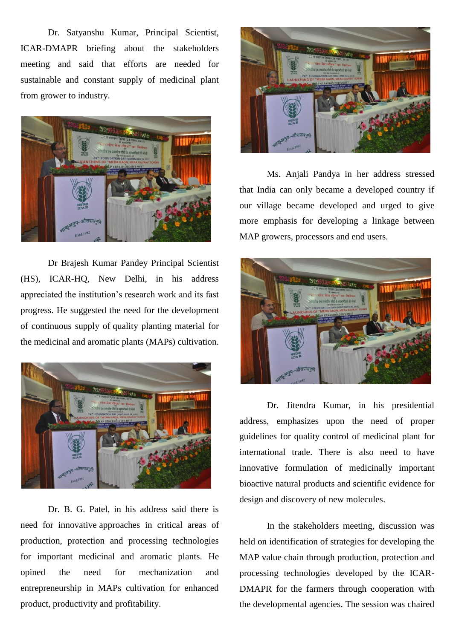Dr. Satyanshu Kumar, Principal Scientist, ICAR-DMAPR briefing about the stakeholders meeting and said that efforts are needed for sustainable and constant supply of medicinal plant from grower to industry.



Dr Brajesh Kumar Pandey Principal Scientist (HS), ICAR-HQ, New Delhi, in his address appreciated the institution's research work and its fast progress. He suggested the need for the development of continuous supply of quality planting material for the medicinal and aromatic plants (MAPs) cultivation.



Dr. B. G. Patel, in his address said there is need for innovative approaches in critical areas of production, protection and processing technologies for important medicinal and aromatic plants. He opined the need for mechanization and entrepreneurship in MAPs cultivation for enhanced product, productivity and profitability.



Ms. Anjali Pandya in her address stressed that India can only became a developed country if our village became developed and urged to give more emphasis for developing a linkage between MAP growers, processors and end users.



Dr. Jitendra Kumar, in his presidential address, emphasizes upon the need of proper guidelines for quality control of medicinal plant for international trade. There is also need to have innovative formulation of medicinally important bioactive natural products and scientific evidence for design and discovery of new molecules.

In the stakeholders meeting, discussion was held on identification of strategies for developing the MAP value chain through production, protection and processing technologies developed by the ICAR-DMAPR for the farmers through cooperation with the developmental agencies. The session was chaired